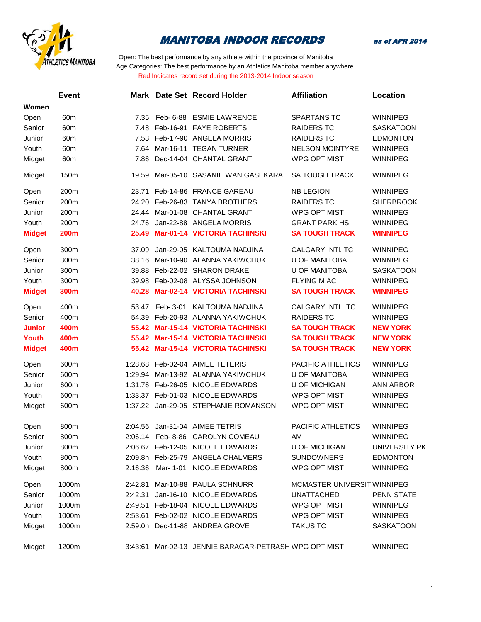

as of APR 2014

|               | <b>Event</b> |         | Mark Date Set Record Holder                           | <b>Affiliation</b>          | Location          |
|---------------|--------------|---------|-------------------------------------------------------|-----------------------------|-------------------|
| Women         |              |         |                                                       |                             |                   |
| Open          | 60m          | 7.35    | Feb- 6-88 ESMIE LAWRENCE                              | SPARTANS TC                 | <b>WINNIPEG</b>   |
| Senior        | 60m          | 7.48    | Feb-16-91 FAYE ROBERTS                                | <b>RAIDERS TC</b>           | <b>SASKATOON</b>  |
| Junior        | 60m          | 7.53    | Feb-17-90 ANGELA MORRIS                               | <b>RAIDERS TC</b>           | <b>EDMONTON</b>   |
| Youth         | 60m          | 7.64    | Mar-16-11 TEGAN TURNER                                | <b>NELSON MCINTYRE</b>      | <b>WINNIPEG</b>   |
| Midget        | 60m          | 7.86    | Dec-14-04 CHANTAL GRANT                               | <b>WPG OPTIMIST</b>         | <b>WINNIPEG</b>   |
| Midget        | 150m         | 19.59   | Mar-05-10 SASANIE WANIGASEKARA                        | <b>SA TOUGH TRACK</b>       | <b>WINNIPEG</b>   |
| Open          | 200m         | 23.71   | Feb-14-86 FRANCE GAREAU                               | <b>NB LEGION</b>            | <b>WINNIPEG</b>   |
| Senior        | 200m         | 24.20   | Feb-26-83 TANYA BROTHERS                              | <b>RAIDERS TC</b>           | <b>SHERBROOK</b>  |
| Junior        | 200m         | 24.44   | Mar-01-08 CHANTAL GRANT                               | <b>WPG OPTIMIST</b>         | <b>WINNIPEG</b>   |
| Youth         | 200m         | 24.76   | Jan-22-88 ANGELA MORRIS                               | <b>GRANT PARK HS</b>        | <b>WINNIPEG</b>   |
| <b>Midget</b> | <b>200m</b>  | 25.49   | Mar-01-14 VICTORIA TACHINSKI                          | <b>SA TOUGH TRACK</b>       | <b>WINNIPEG</b>   |
| Open          | 300m         | 37.09   | Jan-29-05 KALTOUMA NADJINA                            | <b>CALGARY INTI. TC</b>     | <b>WINNIPEG</b>   |
| Senior        | 300m         | 38.16   | Mar-10-90 ALANNA YAKIWCHUK                            | <b>U OF MANITOBA</b>        | <b>WINNIPEG</b>   |
| Junior        | 300m         | 39.88   | Feb-22-02 SHARON DRAKE                                | <b>U OF MANITOBA</b>        | <b>SASKATOON</b>  |
| Youth         | 300m         | 39.98   | Feb-02-08 ALYSSA JOHNSON                              | <b>FLYING M AC</b>          | <b>WINNIPEG</b>   |
| <b>Midget</b> | 300m         | 40.28   | Mar-02-14 VICTORIA TACHINSKI                          | <b>SA TOUGH TRACK</b>       | <b>WINNIPEG</b>   |
| Open          | 400m         | 53.47   | Feb- 3-01 KALTOUMA NADJINA                            | CALGARY INTL. TC            | <b>WINNIPEG</b>   |
| Senior        | 400m         | 54.39   | Feb-20-93 ALANNA YAKIWCHUK                            | <b>RAIDERS TC</b>           | <b>WINNIPEG</b>   |
| <b>Junior</b> | 400m         | 55.42   | <b>Mar-15-14 VICTORIA TACHINSKI</b>                   | <b>SA TOUGH TRACK</b>       | <b>NEW YORK</b>   |
| <b>Youth</b>  | 400m         | 55.42   | Mar-15-14 VICTORIA TACHINSKI                          | <b>SA TOUGH TRACK</b>       | <b>NEW YORK</b>   |
| <b>Midget</b> | 400m         | 55.42   | <b>Mar-15-14 VICTORIA TACHINSKI</b>                   | <b>SA TOUGH TRACK</b>       | <b>NEW YORK</b>   |
| Open          | 600m         | 1:28.68 | Feb-02-04 AIMEE TETERIS                               | PACIFIC ATHLETICS           | <b>WINNIPEG</b>   |
| Senior        | 600m         | 1:29.94 | Mar-13-92 ALANNA YAKIWCHUK                            | <b>U OF MANITOBA</b>        | <b>WINNIPEG</b>   |
| Junior        | 600m         | 1:31.76 | Feb-26-05 NICOLE EDWARDS                              | <b>U OF MICHIGAN</b>        | <b>ANN ARBOR</b>  |
| Youth         | 600m         | 1:33.37 | Feb-01-03 NICOLE EDWARDS                              | <b>WPG OPTIMIST</b>         | <b>WINNIPEG</b>   |
| Midget        | 600m         |         | 1:37.22 Jan-29-05 STEPHANIE ROMANSON                  | <b>WPG OPTIMIST</b>         | <b>WINNIPEG</b>   |
| Open          | 800m         | 2:04.56 | Jan-31-04 AIMEE TETRIS                                | <b>PACIFIC ATHLETICS</b>    | <b>WINNIPEG</b>   |
| Senior        | 800m         | 2:06.14 | Feb- 8-86 CAROLYN COMEAU                              | AM                          | <b>WINNIPEG</b>   |
| Junior        | 800m         |         | 2:06.67 Feb-12-05 NICOLE EDWARDS                      | U OF MICHIGAN               | UNIVERSITY PK     |
| Youth         | 800m         |         | 2:09.8h Feb-25-79 ANGELA CHALMERS                     | <b>SUNDOWNERS</b>           | EDMONTON          |
| Midget        | 800m         | 2:16.36 | Mar- 1-01 NICOLE EDWARDS                              | <b>WPG OPTIMIST</b>         | <b>WINNIPEG</b>   |
| Open          | 1000m        | 2:42.81 | Mar-10-88 PAULA SCHNURR                               | MCMASTER UNIVERSIT WINNIPEG |                   |
| Senior        | 1000m        | 2:42.31 | Jan-16-10 NICOLE EDWARDS                              | <b>UNATTACHED</b>           | <b>PENN STATE</b> |
| Junior        | 1000m        |         | 2:49.51 Feb-18-04 NICOLE EDWARDS                      | <b>WPG OPTIMIST</b>         | <b>WINNIPEG</b>   |
| Youth         | 1000m        |         | 2:53.61 Feb-02-02 NICOLE EDWARDS                      | <b>WPG OPTIMIST</b>         | WINNIPEG          |
| Midget        | 1000m        |         | 2:59.0h Dec-11-88 ANDREA GROVE                        | <b>TAKUS TC</b>             | <b>SASKATOON</b>  |
| Midget        | 1200m        |         | 3:43:61 Mar-02-13 JENNIE BARAGAR-PETRASH WPG OPTIMIST |                             | <b>WINNIPEG</b>   |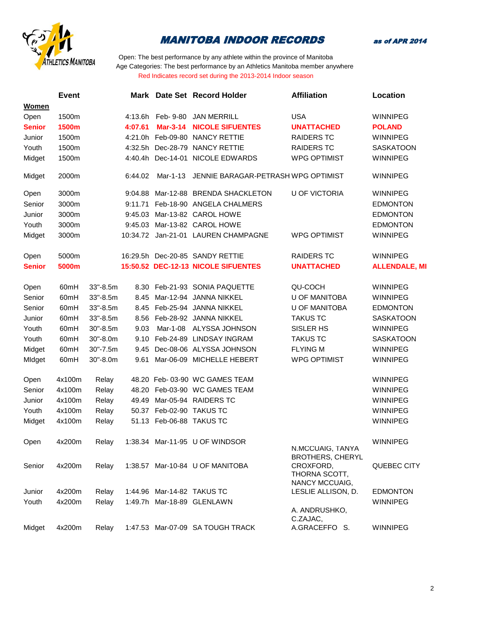

as of APR 2014

|               | <b>Event</b> |             |          |                 | Mark Date Set Record Holder         | <b>Affiliation</b>                                                      | Location             |
|---------------|--------------|-------------|----------|-----------------|-------------------------------------|-------------------------------------------------------------------------|----------------------|
| <b>Women</b>  |              |             |          |                 |                                     |                                                                         |                      |
| Open          | 1500m        |             | 4:13.6h  | Feb- 9-80       | <b>JAN MERRILL</b>                  | <b>USA</b>                                                              | <b>WINNIPEG</b>      |
| <b>Senior</b> | 1500m        |             | 4:07.61  | <b>Mar-3-14</b> | <b>NICOLE SIFUENTES</b>             | <b>UNATTACHED</b>                                                       | <b>POLAND</b>        |
| Junior        | 1500m        |             |          |                 | 4:21.0h Feb-09-80 NANCY RETTIE      | <b>RAIDERS TC</b>                                                       | <b>WINNIPEG</b>      |
| Youth         | 1500m        |             |          |                 | 4:32.5h Dec-28-79 NANCY RETTIE      | <b>RAIDERS TC</b>                                                       | <b>SASKATOON</b>     |
| Midget        | 1500m        |             | 4:40.4h  |                 | Dec-14-01 NICOLE EDWARDS            | <b>WPG OPTIMIST</b>                                                     | <b>WINNIPEG</b>      |
| Midget        | 2000m        |             | 6:44.02  | Mar-1-13        | JENNIE BARAGAR-PETRASH WPG OPTIMIST |                                                                         | <b>WINNIPEG</b>      |
| Open          | 3000m        |             | 9:04.88  |                 | Mar-12-88 BRENDA SHACKLETON         | <b>U OF VICTORIA</b>                                                    | <b>WINNIPEG</b>      |
| Senior        | 3000m        |             | 9:11.71  |                 | Feb-18-90 ANGELA CHALMERS           |                                                                         | <b>EDMONTON</b>      |
| Junior        | 3000m        |             | 9:45.03  |                 | Mar-13-82 CAROL HOWE                |                                                                         | <b>EDMONTON</b>      |
| Youth         | 3000m        |             | 9:45.03  |                 | Mar-13-82 CAROL HOWE                |                                                                         | <b>EDMONTON</b>      |
| Midget        | 3000m        |             | 10:34.72 |                 | Jan-21-01 LAUREN CHAMPAGNE          | <b>WPG OPTIMIST</b>                                                     | <b>WINNIPEG</b>      |
| Open          | 5000m        |             |          |                 | 16:29.5h Dec-20-85 SANDY RETTIE     | <b>RAIDERS TC</b>                                                       | <b>WINNIPEG</b>      |
| <b>Senior</b> | 5000m        |             |          |                 | 15:50.52 DEC-12-13 NICOLE SIFUENTES | <b>UNATTACHED</b>                                                       | <b>ALLENDALE, MI</b> |
| Open          | 60mH         | 33"-8.5m    |          |                 | 8.30 Feb-21-93 SONIA PAQUETTE       | <b>QU-COCH</b>                                                          | <b>WINNIPEG</b>      |
| Senior        | 60mH         | $33 - 8.5m$ | 8.45     |                 | Mar-12-94 JANNA NIKKEL              | <b>U OF MANITOBA</b>                                                    | <b>WINNIPEG</b>      |
| Senior        | 60mH         | 33"-8.5m    | 8.45     |                 | Feb-25-94 JANNA NIKKEL              | <b>U OF MANITOBA</b>                                                    | <b>EDMONTON</b>      |
| Junior        | 60mH         | 33"-8.5m    | 8.56     |                 | Feb-28-92 JANNA NIKKEL              | <b>TAKUS TC</b>                                                         | <b>SASKATOON</b>     |
| Youth         | 60mH         | 30"-8.5m    | 9.03     | Mar-1-08        | ALYSSA JOHNSON                      | SISLER HS                                                               | <b>WINNIPEG</b>      |
| Youth         | 60mH         | 30"-8.0m    | 9.10     |                 | Feb-24-89 LINDSAY INGRAM            | <b>TAKUS TC</b>                                                         | <b>SASKATOON</b>     |
| Midget        | 60mH         | 30"-7.5m    | 9.45     |                 | Dec-08-06 ALYSSA JOHNSON            | <b>FLYING M</b>                                                         | <b>WINNIPEG</b>      |
| MIdget        | 60mH         | 30"-8.0m    | 9.61     |                 | Mar-06-09 MICHELLE HEBERT           | <b>WPG OPTIMIST</b>                                                     | <b>WINNIPEG</b>      |
| Open          | 4x100m       | Relay       |          |                 | 48.20 Feb- 03-90 WC GAMES TEAM      |                                                                         | <b>WINNIPEG</b>      |
| Senior        | 4x100m       | Relay       | 48.20    |                 | Feb-03-90 WC GAMES TEAM             |                                                                         | <b>WINNIPEG</b>      |
| Junior        | 4x100m       | Relay       | 49.49    |                 | Mar-05-94 RAIDERS TC                |                                                                         | <b>WINNIPEG</b>      |
| Youth         | 4x100m       | Relay       | 50.37    |                 | Feb-02-90 TAKUS TC                  |                                                                         | <b>WINNIPEG</b>      |
| Midget        | 4x100m       | Relay       | 51.13    |                 | Feb-06-88 TAKUS TC                  |                                                                         | <b>WINNIPEG</b>      |
| Open          | 4x200m       | Relay       |          |                 | 1:38.34 Mar-11-95 U OF WINDSOR      | N.MCCUAIG, IANYA                                                        | WINNIPEG             |
| Senior        | 4x200m       | Relay       |          |                 | 1:38.57 Mar-10-84 U OF MANITOBA     | <b>BROTHERS, CHERYL</b><br>CROXFORD,<br>THORNA SCOTT,<br>NANCY MCCUAIG, | QUEBEC CITY          |
| Junior        | 4x200m       | Relay       |          |                 | 1:44.96 Mar-14-82 TAKUS TC          | LESLIE ALLISON, D.                                                      | <b>EDMONTON</b>      |
| Youth         | 4x200m       | Relay       |          |                 | 1:49.7h Mar-18-89 GLENLAWN          | A. ANDRUSHKO,<br>C.ZAJAC,                                               | <b>WINNIPEG</b>      |
| Midget        | 4x200m       | Relay       |          |                 | 1:47.53 Mar-07-09 SA TOUGH TRACK    | A.GRACEFFO S.                                                           | WINNIPEG             |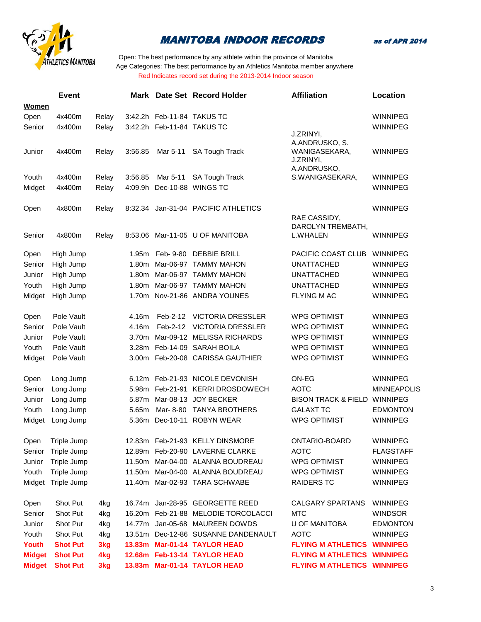

as of APR 2014

|               | <b>Event</b>       |       |                   |                            | Mark Date Set Record Holder         | <b>Affiliation</b>                 | Location           |
|---------------|--------------------|-------|-------------------|----------------------------|-------------------------------------|------------------------------------|--------------------|
| Women         |                    |       |                   |                            |                                     |                                    |                    |
| Open          | 4x400m             | Relay |                   | 3:42.2h Feb-11-84 TAKUS TC |                                     |                                    | <b>WINNIPEG</b>    |
| Senior        | 4x400m             | Relay |                   |                            | 3:42.2h Feb-11-84 TAKUS TC          |                                    | <b>WINNIPEG</b>    |
|               |                    |       |                   |                            |                                     | J.ZRINYI,<br>A.ANDRUSKO, S.        |                    |
| Junior        | 4x400m             | Relay | 3:56.85           | Mar 5-11                   | <b>SA Tough Track</b>               | WANIGASEKARA,                      | <b>WINNIPEG</b>    |
|               |                    |       |                   |                            |                                     | J.ZRINYI,                          |                    |
|               |                    |       |                   |                            |                                     | A.ANDRUSKO,                        |                    |
| Youth         | 4x400m             | Relay | 3:56.85           | Mar 5-11                   | <b>SA Tough Track</b>               | S.WANIGASEKARA,                    | <b>WINNIPEG</b>    |
| Midget        | 4x400m             | Relay | 4:09.9h           |                            | Dec-10-88 WINGS TC                  |                                    | <b>WINNIPEG</b>    |
|               |                    |       |                   |                            |                                     |                                    |                    |
| Open          | 4x800m             | Relay | 8:32.34           |                            | Jan-31-04 PACIFIC ATHLETICS         |                                    | <b>WINNIPEG</b>    |
|               |                    |       |                   |                            |                                     | RAE CASSIDY,<br>DAROLYN TREMBATH,  |                    |
| Senior        | 4x800m             | Relay | 8:53.06           |                            | Mar-11-05 U OF MANITOBA             | L.WHALEN                           | <b>WINNIPEG</b>    |
|               |                    |       |                   |                            |                                     |                                    |                    |
| Open          | High Jump          |       | 1.95m             | Feb- 9-80                  | <b>DEBBIE BRILL</b>                 | PACIFIC COAST CLUB                 | WINNIPEG           |
| Senior        | High Jump          |       | 1.80 <sub>m</sub> |                            | Mar-06-97 TAMMY MAHON               | <b>UNATTACHED</b>                  | <b>WINNIPEG</b>    |
| Junior        | High Jump          |       | 1.80m             |                            | Mar-06-97 TAMMY MAHON               | <b>UNATTACHED</b>                  | <b>WINNIPEG</b>    |
| Youth         | High Jump          |       | 1.80m             |                            | Mar-06-97 TAMMY MAHON               | <b>UNATTACHED</b>                  | <b>WINNIPEG</b>    |
| Midget        | High Jump          |       |                   |                            | 1.70m Nov-21-86 ANDRA YOUNES        | <b>FLYING MAC</b>                  | <b>WINNIPEG</b>    |
|               |                    |       |                   |                            |                                     |                                    |                    |
| Open          | Pole Vault         |       | 4.16m             | Feb-2-12                   | <b>VICTORIA DRESSLER</b>            | <b>WPG OPTIMIST</b>                | <b>WINNIPEG</b>    |
| Senior        | Pole Vault         |       | 4.16m             | Feb-2-12                   | <b>VICTORIA DRESSLER</b>            | <b>WPG OPTIMIST</b>                | <b>WINNIPEG</b>    |
| Junior        | Pole Vault         |       | 3.70m             |                            | Mar-09-12 MELISSA RICHARDS          | <b>WPG OPTIMIST</b>                | <b>WINNIPEG</b>    |
| Youth         | Pole Vault         |       | 3.28 <sub>m</sub> |                            | Feb-14-09 SARAH BOILA               | <b>WPG OPTIMIST</b>                | <b>WINNIPEG</b>    |
| Midget        | Pole Vault         |       |                   |                            | 3.00m Feb-20-08 CARISSA GAUTHIER    | <b>WPG OPTIMIST</b>                | <b>WINNIPEG</b>    |
|               |                    |       |                   |                            |                                     |                                    |                    |
| Open          | Long Jump          |       |                   |                            | 6.12m Feb-21-93 NICOLE DEVONISH     | ON-EG                              | <b>WINNIPEG</b>    |
| Senior        | Long Jump          |       | 5.98m             |                            | Feb-21-91 KERRI DROSDOWECH          | <b>AOTC</b>                        | <b>MINNEAPOLIS</b> |
| Junior        | Long Jump          |       | 5.87m             |                            | Mar-08-13 JOY BECKER                | <b>BISON TRACK &amp; FIELD</b>     | <b>WINNIPEG</b>    |
| Youth         | Long Jump          |       | 5.65m             | Mar-8-80                   | <b>TANYA BROTHERS</b>               | <b>GALAXT TC</b>                   | <b>EDMONTON</b>    |
| Midget        | Long Jump          |       | 5.36m             |                            | Dec-10-11 ROBYN WEAR                | <b>WPG OPTIMIST</b>                | <b>WINNIPEG</b>    |
|               |                    |       |                   |                            |                                     |                                    |                    |
| Open          | Triple Jump        |       |                   |                            | 12.83m Feb-21-93 KELLY DINSMORE     | ONTARIO-BOARD                      | <b>WINNIPEG</b>    |
|               | Senior Triple Jump |       |                   |                            | 12.89m Feb-20-90 LAVERNE CLARKE     | <b>AOTC</b>                        | <b>FLAGSTAFF</b>   |
| Junior        | Triple Jump        |       |                   |                            | 11.50m Mar-04-00 ALANNA BOUDREAU    | <b>WPG OPTIMIST</b>                | <b>WINNIPEG</b>    |
| Youth         | Triple Jump        |       |                   |                            | 11.50m Mar-04-00 ALANNA BOUDREAU    | <b>WPG OPTIMIST</b>                | <b>WINNIPEG</b>    |
|               | Midget Triple Jump |       |                   |                            | 11.40m Mar-02-93 TARA SCHWABE       | <b>RAIDERS TC</b>                  | <b>WINNIPEG</b>    |
|               |                    |       |                   |                            |                                     |                                    |                    |
| Open          | Shot Put           | 4kg   | 16.74m            |                            | Jan-28-95 GEORGETTE REED            | <b>CALGARY SPARTANS</b>            | <b>WINNIPEG</b>    |
| Senior        | Shot Put           | 4kg   |                   |                            | 16.20m Feb-21-88 MELODIE TORCOLACCI | <b>MTC</b>                         | <b>WINDSOR</b>     |
| Junior        | Shot Put           | 4kg   |                   |                            | 14.77m Jan-05-68 MAUREEN DOWDS      | <b>U OF MANITOBA</b>               | <b>EDMONTON</b>    |
| Youth         | Shot Put           | 4kg   |                   |                            | 13.51m Dec-12-86 SUSANNE DANDENAULT | <b>AOTC</b>                        | <b>WINNIPEG</b>    |
| Youth         | <b>Shot Put</b>    | 3kg   |                   |                            | 13.83m Mar-01-14 TAYLOR HEAD        | <b>FLYING M ATHLETICS WINNIPEG</b> |                    |
| <b>Midget</b> | <b>Shot Put</b>    | 4kg   |                   |                            | 12.68m Feb-13-14 TAYLOR HEAD        | <b>FLYING M ATHLETICS WINNIPEG</b> |                    |
| <b>Midget</b> | <b>Shot Put</b>    | 3kg   |                   |                            | 13.83m Mar-01-14 TAYLOR HEAD        | <b>FLYING M ATHLETICS WINNIPEG</b> |                    |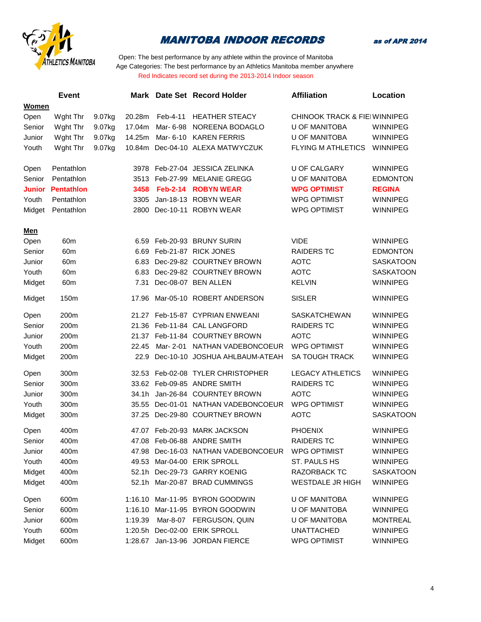



|               | <b>Event</b>      |        | Mark    |                 | Date Set Record Holder              | <b>Affiliation</b>                       | Location         |
|---------------|-------------------|--------|---------|-----------------|-------------------------------------|------------------------------------------|------------------|
| Women         |                   |        |         |                 |                                     |                                          |                  |
| Open          | Wght Thr          | 9.07kg | 20.28m  | Feb-4-11        | <b>HEATHER STEACY</b>               | <b>CHINOOK TRACK &amp; FIEI WINNIPEG</b> |                  |
| Senior        | Wght Thr          | 9.07kg | 17.04m  | Mar- 6-98       | NOREENA BODAGLO                     | <b>U OF MANITOBA</b>                     | <b>WINNIPEG</b>  |
| Junior        | Wght Thr          | 9.07kg | 14.25m  | Mar- 6-10       | <b>KAREN FERRIS</b>                 | <b>U OF MANITOBA</b>                     | <b>WINNIPEG</b>  |
| Youth         | Wght Thr          | 9.07kg | 10.84m  |                 | Dec-04-10 ALEXA MATWYCZUK           | <b>FLYING M ATHLETICS</b>                | WINNIPEG         |
| Open          | Pentathlon        |        |         |                 | 3978 Feb-27-04 JESSICA ZELINKA      | <b>U OF CALGARY</b>                      | <b>WINNIPEG</b>  |
| Senior        | Pentathlon        |        |         |                 | 3513 Feb-27-99 MELANIE GREGG        | <b>U OF MANITOBA</b>                     | <b>EDMONTON</b>  |
| <b>Junior</b> | <b>Pentathlon</b> |        | 3458    | <b>Feb-2-14</b> | <b>ROBYN WEAR</b>                   | <b>WPG OPTIMIST</b>                      | <b>REGINA</b>    |
| Youth         | Pentathlon        |        | 3305    |                 | Jan-18-13 ROBYN WEAR                | <b>WPG OPTIMIST</b>                      | WINNIPEG         |
| Midget        | Pentathlon        |        | 2800    |                 | Dec-10-11 ROBYN WEAR                | <b>WPG OPTIMIST</b>                      | <b>WINNIPEG</b>  |
| <b>Men</b>    |                   |        |         |                 |                                     |                                          |                  |
| Open          | 60 <sub>m</sub>   |        |         |                 | 6.59 Feb-20-93 BRUNY SURIN          | <b>VIDE</b>                              | <b>WINNIPEG</b>  |
| Senior        | 60 <sub>m</sub>   |        | 6.69    |                 | Feb-21-87 RICK JONES                | <b>RAIDERS TC</b>                        | <b>EDMONTON</b>  |
| Junior        | 60m               |        | 6.83    |                 | Dec-29-82 COURTNEY BROWN            | <b>AOTC</b>                              | <b>SASKATOON</b> |
| Youth         | 60m               |        | 6.83    |                 | Dec-29-82 COURTNEY BROWN            | <b>AOTC</b>                              | <b>SASKATOON</b> |
| Midget        | 60m               |        | 7.31    |                 | Dec-08-07 BEN ALLEN                 | <b>KELVIN</b>                            | <b>WINNIPEG</b>  |
| Midget        | 150m              |        | 17.96   |                 | Mar-05-10 ROBERT ANDERSON           | <b>SISLER</b>                            | <b>WINNIPEG</b>  |
| Open          | 200m              |        |         |                 | 21.27 Feb-15-87 CYPRIAN ENWEANI     | <b>SASKATCHEWAN</b>                      | <b>WINNIPEG</b>  |
| Senior        | 200m              |        |         |                 | 21.36 Feb-11-84 CAL LANGFORD        | <b>RAIDERS TC</b>                        | WINNIPEG         |
| Junior        | 200m              |        |         |                 | 21.37 Feb-11-84 COURTNEY BROWN      | <b>AOTC</b>                              | <b>WINNIPEG</b>  |
| Youth         | 200m              |        | 22.45   | Mar- 2-01       | NATHAN VADEBONCOEUR                 | <b>WPG OPTIMIST</b>                      | <b>WINNIPEG</b>  |
| Midget        | 200m              |        | 22.9    |                 | Dec-10-10 JOSHUA AHLBAUM-ATEAH      | <b>SA TOUGH TRACK</b>                    | <b>WINNIPEG</b>  |
| Open          | 300m              |        | 32.53   |                 | Feb-02-08 TYLER CHRISTOPHER         | <b>LEGACY ATHLETICS</b>                  | <b>WINNIPEG</b>  |
| Senior        | 300m              |        | 33.62   |                 | Feb-09-85 ANDRE SMITH               | <b>RAIDERS TC</b>                        | <b>WINNIPEG</b>  |
| Junior        | 300m              |        | 34.1h   |                 | Jan-26-84 COURNTEY BROWN            | <b>AOTC</b>                              | <b>WINNIPEG</b>  |
| Youth         | 300m              |        | 35.55   |                 | Dec-01-01 NATHAN VADEBONCOEUR       | <b>WPG OPTIMIST</b>                      | <b>WINNIPEG</b>  |
| Midget        | 300m              |        | 37.25   |                 | Dec-29-80 COURTNEY BROWN            | <b>AOTC</b>                              | <b>SASKATOON</b> |
| Open          | 400m              |        |         |                 | 47.07 Feb-20-93 MARK JACKSON        | <b>PHOENIX</b>                           | <b>WINNIPEG</b>  |
| Senior        | 400m              |        |         |                 | 47.08 Feb-06-88 ANDRE SMITH         | <b>RAIDERS TC</b>                        | WINNIPEG         |
| Junior        | 400m              |        |         |                 | 47.98 Dec-16-03 NATHAN VADEBONCOEUR | <b>WPG OPTIMIST</b>                      | <b>WINNIPEG</b>  |
| Youth         | 400m              |        |         |                 | 49.53 Mar-04-00 ERIK SPROLL         | ST. PAULS HS                             | <b>WINNIPEG</b>  |
| Midget        | 400m              |        |         |                 | 52.1h Dec-29-73 GARRY KOENIG        | <b>RAZORBACK TC</b>                      | <b>SASKATOON</b> |
| Midget        | 400m              |        |         |                 | 52.1h Mar-20-87 BRAD CUMMINGS       | <b>WESTDALE JR HIGH</b>                  | <b>WINNIPEG</b>  |
| Open          | 600m              |        | 1:16.10 |                 | Mar-11-95 BYRON GOODWIN             | <b>U OF MANITOBA</b>                     | <b>WINNIPEG</b>  |
| Senior        | 600m              |        | 1:16.10 |                 | Mar-11-95 BYRON GOODWIN             | <b>U OF MANITOBA</b>                     | <b>WINNIPEG</b>  |
| Junior        | 600m              |        | 1:19.39 |                 | Mar-8-07 FERGUSON, QUIN             | <b>U OF MANITOBA</b>                     | <b>MONTREAL</b>  |
| Youth         | 600m              |        | 1:20.5h |                 | Dec-02-00 ERIK SPROLL               | <b>UNATTACHED</b>                        | WINNIPEG         |
| Midget        | 600m              |        | 1:28.67 |                 | Jan-13-96 JORDAN FIERCE             | <b>WPG OPTIMIST</b>                      | WINNIPEG         |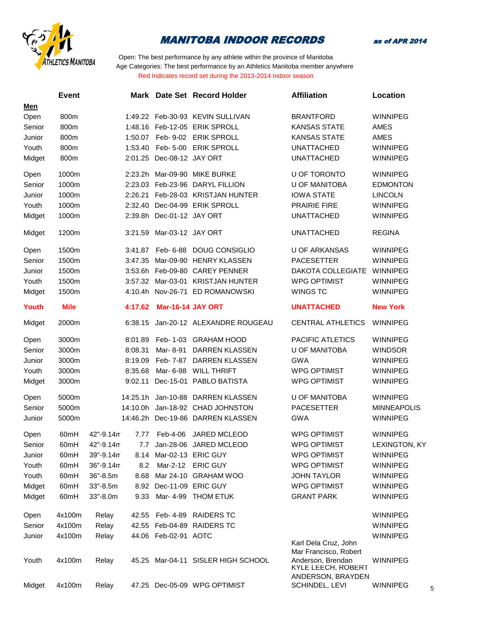

as of APR 2014

|        | <b>Event</b>     |             |          |                           | Mark Date Set Record Holder        | <b>Affiliation</b>                                                                    | Location           |
|--------|------------------|-------------|----------|---------------------------|------------------------------------|---------------------------------------------------------------------------------------|--------------------|
| Men    |                  |             |          |                           |                                    |                                                                                       |                    |
| Open   | 800m             |             |          |                           | 1:49.22 Feb-30-93 KEVIN SULLIVAN   | <b>BRANTFORD</b>                                                                      | <b>WINNIPEG</b>    |
| Senior | 800m             |             |          |                           | 1:48.16 Feb-12-05 ERIK SPROLL      | <b>KANSAS STATE</b>                                                                   | AMES               |
| Junior | 800m             |             | 1:50.07  |                           | Feb- 9-02 ERIK SPROLL              | <b>KANSAS STATE</b>                                                                   | AMES               |
| Youth  | 800m             |             | 1:53.40  |                           | Feb- 5-00 ERIK SPROLL              | <b>UNATTACHED</b>                                                                     | WINNIPEG           |
| Midget | 800m             |             |          | 2:01.25 Dec-08-12 JAY ORT |                                    | <b>UNATTACHED</b>                                                                     | <b>WINNIPEG</b>    |
| Open   | 1000m            |             |          |                           | 2:23.2h Mar-09-90 MIKE BURKE       | U OF TORONTO                                                                          | <b>WINNIPEG</b>    |
| Senior | 1000m            |             | 2:23.03  |                           | Feb-23-96 DARYL FILLION            | <b>U OF MANITOBA</b>                                                                  | <b>EDMONTON</b>    |
| Junior | 1000m            |             | 2:26.21  |                           | Feb-28-03 KRISTJAN HUNTER          | <b>IOWA STATE</b>                                                                     | <b>LINCOLN</b>     |
| Youth  | 1000m            |             | 2:32.40  |                           | Dec-04-99 ERIK SPROLL              | <b>PRAIRIE FIRE</b>                                                                   | <b>WINNIPEG</b>    |
| Midget | 1000m            |             |          | 2:39.8h Dec-01-12 JAY ORT |                                    | <b>UNATTACHED</b>                                                                     | <b>WINNIPEG</b>    |
| Midget | 1200m            |             | 3:21.59  | Mar-03-12 JAY ORT         |                                    | <b>UNATTACHED</b>                                                                     | <b>REGINA</b>      |
| Open   | 1500m            |             | 3:41.87  | Feb- 6-88                 | DOUG CONSIGLIO                     | <b>U OF ARKANSAS</b>                                                                  | <b>WINNIPEG</b>    |
| Senior | 1500m            |             | 3:47.35  |                           | Mar-09-90 HENRY KLASSEN            | <b>PACESETTER</b>                                                                     | <b>WINNIPEG</b>    |
| Junior | 1500m            |             |          |                           | 3:53.6h Feb-09-80 CAREY PENNER     | DAKOTA COLLEGIATE                                                                     | WINNIPEG           |
| Youth  | 1500m            |             |          |                           | 3:57.32 Mar-03-01 KRISTJAN HUNTER  | <b>WPG OPTIMIST</b>                                                                   | <b>WINNIPEG</b>    |
| Midget | 1500m            |             |          |                           | 4:10.4h Nov-26-71 ED ROMANOWSKI    | <b>WINGS TC</b>                                                                       | <b>WINNIPEG</b>    |
| Youth  | <b>Mile</b>      |             | 4:17.62  | <b>Mar-16-14 JAY ORT</b>  |                                    | <b>UNATTACHED</b>                                                                     | <b>New York</b>    |
| Midget | 2000m            |             | 6:38.15  |                           | Jan-20-12 ALEXANDRE ROUGEAU        | <b>CENTRAL ATHLETICS</b>                                                              | <b>WINNIPEG</b>    |
| Open   | 3000m            |             | 8:01.89  |                           | Feb- 1-03 GRAHAM HOOD              | PACIFIC ATLETICS                                                                      | <b>WINNIPEG</b>    |
| Senior | 3000m            |             | 8:08.31  | Mar-8-91                  | DARREN KLASSEN                     | <b>U OF MANITOBA</b>                                                                  | <b>WINDSOR</b>     |
| Junior | 3000m            |             | 8:19.09  | Feb- 7-87                 | DARREN KLASSEN                     | <b>GWA</b>                                                                            | <b>WINNIPEG</b>    |
| Youth  | 3000m            |             | 8:35.68  |                           | Mar- 6-98 WILL THRIFT              | <b>WPG OPTIMIST</b>                                                                   | <b>WINNIPEG</b>    |
| Midget | 3000m            |             | 9:02.11  |                           | Dec-15-01 PABLO BATISTA            | <b>WPG OPTIMIST</b>                                                                   | <b>WINNIPEG</b>    |
| Open   | 5000m            |             | 14:25.1h |                           | Jan-10-88 DARREN KLASSEN           | <b>U OF MANITOBA</b>                                                                  | <b>WINNIPEG</b>    |
| Senior | 5000m            |             | 14:10.0h |                           | Jan-18-92 CHAD JOHNSTON            | <b>PACESETTER</b>                                                                     | <b>MINNEAPOLIS</b> |
| Junior | 5000m            |             |          |                           | 14:46.2h Dec-19-86 DARREN KLASSEN  | <b>GWA</b>                                                                            | <b>WINNIPEG</b>    |
| Open   | 60mH             | 42"-9.14m   |          |                           | 7.77 Feb-4-06 JARED MCLEOD         | <b>WPG OPTIMIST</b>                                                                   | <b>WINNIPEG</b>    |
| Senior | 60mH             | 42"-9.14m   |          |                           | Jan-28-06 JARED MCLEOD             | WPG OPTIMIST                                                                          | LEXINGTON, KY      |
| Junior | 60mH             | 39"-9.14m   | 8.14     |                           | Mar-02-13 ERIC GUY                 | <b>WPG OPTIMIST</b>                                                                   | <b>WINNIPEG</b>    |
| Youth  | 60 <sub>mH</sub> | 36"-9.14m   | 8.2      | Mar-2-12                  | <b>ERIC GUY</b>                    | <b>WPG OPTIMIST</b>                                                                   | <b>WINNIPEG</b>    |
| Youth  | 60 <sub>mH</sub> | 36"-8.5m    | 8.68     |                           | Mar 24-10 GRAHAM WOO               | <b>JOHN TAYLOR</b>                                                                    | <b>WINNIPEG</b>    |
| Midget | 60mH             | $33 - 8.5m$ |          | 8.92 Dec-11-09 ERIC GUY   |                                    | <b>WPG OPTIMIST</b>                                                                   | <b>WINNIPEG</b>    |
| Midget | 60mH             | 33"-8.0m    | 9.33     | Mar- 4-99                 | <b>THOM ETUK</b>                   | <b>GRANT PARK</b>                                                                     | <b>WINNIPEG</b>    |
| Open   | 4x100m           | Relay       |          | 42.55 Feb-4-89            | <b>RAIDERS TC</b>                  |                                                                                       | <b>WINNIPEG</b>    |
| Senior | 4x100m           | Relay       |          |                           | 42.55 Feb-04-89 RAIDERS TC         |                                                                                       | <b>WINNIPEG</b>    |
| Junior | 4x100m           | Relay       |          | 44.06 Feb-02-91 AOTC      |                                    | Karl Dela Cruz, John                                                                  | <b>WINNIPEG</b>    |
| Youth  | 4x100m           | Relay       |          |                           | 45.25 Mar-04-11 SISLER HIGH SCHOOL | Mar Francisco, Robert<br>Anderson, Brendan<br>KYLE LEECH, ROBERT<br>ANDERSON, BRAYDEN | <b>WINNIPEG</b>    |
| Midget | 4x100m           | Relay       |          |                           | 47.25 Dec-05-09 WPG OPTIMIST       | SCHINDEL, LEVI                                                                        | WINNIPEG<br>5      |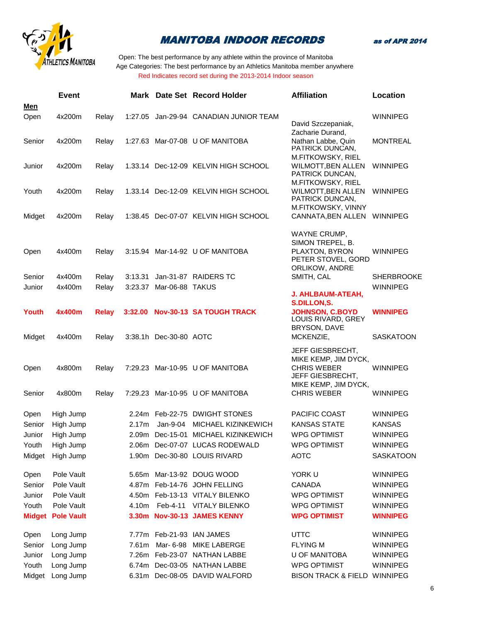

as of APR 2014

|        | <b>Event</b>             |              |                   |                         | Mark Date Set Record Holder            | <b>Affiliation</b>                            | Location          |
|--------|--------------------------|--------------|-------------------|-------------------------|----------------------------------------|-----------------------------------------------|-------------------|
| Men    |                          |              |                   |                         |                                        |                                               |                   |
| Open   | 4x200m                   | Relay        |                   |                         | 1:27.05 Jan-29-94 CANADIAN JUNIOR TEAM | David Szczepaniak,                            | <b>WINNIPEG</b>   |
|        |                          |              |                   |                         |                                        | Zacharie Durand,                              |                   |
| Senior | 4x200m                   | Relay        |                   |                         | 1:27.63 Mar-07-08 U OF MANITOBA        | Nathan Labbe, Quin                            | <b>MONTREAL</b>   |
|        |                          |              |                   |                         |                                        | PATRICK DUNCAN.<br>M.FITKOWSKY, RIEL          |                   |
| Junior | 4x200m                   | Relay        |                   |                         | 1.33.14 Dec-12-09 KELVIN HIGH SCHOOL   | <b>WILMOTT, BEN ALLEN</b>                     | <b>WINNIPEG</b>   |
|        |                          |              |                   |                         |                                        | PATRICK DUNCAN,                               |                   |
|        |                          |              |                   |                         |                                        | M.FITKOWSKY, RIEL                             |                   |
| Youth  | 4x200m                   | Relay        |                   |                         | 1.33.14 Dec-12-09 KELVIN HIGH SCHOOL   | WILMOTT, BEN ALLEN<br>PATRICK DUNCAN,         | <b>WINNIPEG</b>   |
|        |                          |              |                   |                         |                                        | M.FITKOWSKY, VINNY                            |                   |
| Midget | 4x200m                   | Relay        |                   |                         | 1:38.45 Dec-07-07 KELVIN HIGH SCHOOL   | CANNATA, BEN ALLEN WINNIPEG                   |                   |
|        |                          |              |                   |                         |                                        | WAYNE CRUMP,                                  |                   |
|        |                          |              |                   |                         |                                        | SIMON TREPEL, B.                              |                   |
| Open   | 4x400m                   | Relay        |                   |                         | 3:15.94 Mar-14-92 U OF MANITOBA        | PLAXTON, BYRON                                | WINNIPEG          |
|        |                          |              |                   |                         |                                        | PETER STOVEL, GORD<br>ORLIKOW, ANDRE          |                   |
| Senior | 4x400m                   | Relay        | 3:13.31           |                         | Jan-31-87 RAIDERS TC                   | SMITH, CAL                                    | <b>SHERBROOKE</b> |
| Junior | 4x400m                   | Relay        |                   | 3:23.37 Mar-06-88 TAKUS |                                        |                                               | <b>WINNIPEG</b>   |
|        |                          |              |                   |                         |                                        | <b>J. AHLBAUM-ATEAH,</b>                      |                   |
|        |                          |              |                   |                         |                                        | <b>S.DILLON.S.</b>                            |                   |
| Youth  | 4x400m                   | <b>Relay</b> | 3:32.00           |                         | <b>Nov-30-13 SA TOUGH TRACK</b>        | <b>JOHNSON, C.BOYD</b><br>LOUIS RIVARD, GREY  | <b>WINNIPEG</b>   |
|        |                          |              |                   |                         |                                        | BRYSON, DAVE                                  |                   |
| Midget | 4x400m                   | Relay        |                   | 3:38.1h Dec-30-80 AOTC  |                                        | MCKENZIE,                                     | <b>SASKATOON</b>  |
|        |                          |              |                   |                         |                                        | <b>JEFF GIESBRECHT,</b>                       |                   |
|        |                          |              |                   |                         |                                        | MIKE KEMP, JIM DYCK,                          |                   |
| Open   | 4x800m                   | Relay        |                   |                         | 7:29.23 Mar-10-95 U OF MANITOBA        | <b>CHRIS WEBER</b><br><b>JEFF GIESBRECHT,</b> | <b>WINNIPEG</b>   |
|        |                          |              |                   |                         |                                        | MIKE KEMP, JIM DYCK,                          |                   |
| Senior | 4x800m                   | Relay        |                   |                         | 7:29.23 Mar-10-95 U OF MANITOBA        | <b>CHRIS WEBER</b>                            | WINNIPEG          |
|        |                          |              |                   |                         |                                        |                                               |                   |
| Open   | High Jump                |              |                   |                         | 2.24m Feb-22-75 DWIGHT STONES          | <b>PACIFIC COAST</b>                          | <b>WINNIPEG</b>   |
| Senior | High Jump                |              | 2.17m             | Jan-9-04                | MICHAEL KIZINKEWICH                    | <b>KANSAS STATE</b>                           | <b>KANSAS</b>     |
| Junior | High Jump                |              |                   |                         | 2.09m Dec-15-01 MICHAEL KIZINKEWICH    | <b>WPG OPTIMIST</b>                           | <b>WINNIPEG</b>   |
| Youth  | High Jump                |              |                   |                         | 2.06m Dec-07-07 LUCAS RODEWALD         | <b>WPG OPTIMIST</b>                           | <b>WINNIPEG</b>   |
| Midget | High Jump                |              | 1.90m             |                         | Dec-30-80 LOUIS RIVARD                 | <b>AOTC</b>                                   | <b>SASKATOON</b>  |
| Open   | Pole Vault               |              | 5.65m             |                         | Mar-13-92 DOUG WOOD                    | YORK U                                        | <b>WINNIPEG</b>   |
| Senior | Pole Vault               |              |                   |                         | 4.87m Feb-14-76 JOHN FELLING           | CANADA                                        | <b>WINNIPEG</b>   |
| Junior | Pole Vault               |              |                   |                         | 4.50m Feb-13-13 VITALY BILENKO         | <b>WPG OPTIMIST</b>                           | <b>WINNIPEG</b>   |
| Youth  | Pole Vault               |              | 4.10m             |                         | Feb-4-11 VITALY BILENKO                | <b>WPG OPTIMIST</b>                           | <b>WINNIPEG</b>   |
|        | <b>Midget Pole Vault</b> |              | 3.30 <sub>m</sub> |                         | <b>Nov-30-13 JAMES KENNY</b>           | <b>WPG OPTIMIST</b>                           | <b>WINNIPEG</b>   |
|        |                          |              |                   |                         |                                        |                                               |                   |
| Open   | Long Jump                |              |                   |                         | 7.77m Feb-21-93 IAN JAMES              | <b>UTTC</b>                                   | <b>WINNIPEG</b>   |
| Senior | Long Jump                |              | 7.61m             | Mar- 6-98               | <b>MIKE LABERGE</b>                    | <b>FLYING M</b>                               | <b>WINNIPEG</b>   |
| Junior | Long Jump                |              | 7.26m             |                         | Feb-23-07 NATHAN LABBE                 | <b>U OF MANITOBA</b>                          | <b>WINNIPEG</b>   |
| Youth  | Long Jump                |              | 6.74m             |                         | Dec-03-05 NATHAN LABBE                 | <b>WPG OPTIMIST</b>                           | <b>WINNIPEG</b>   |
| Midget | Long Jump                |              | 6.31 <sub>m</sub> |                         | Dec-08-05 DAVID WALFORD                | BISON TRACK & FIELD WINNIPEG                  |                   |